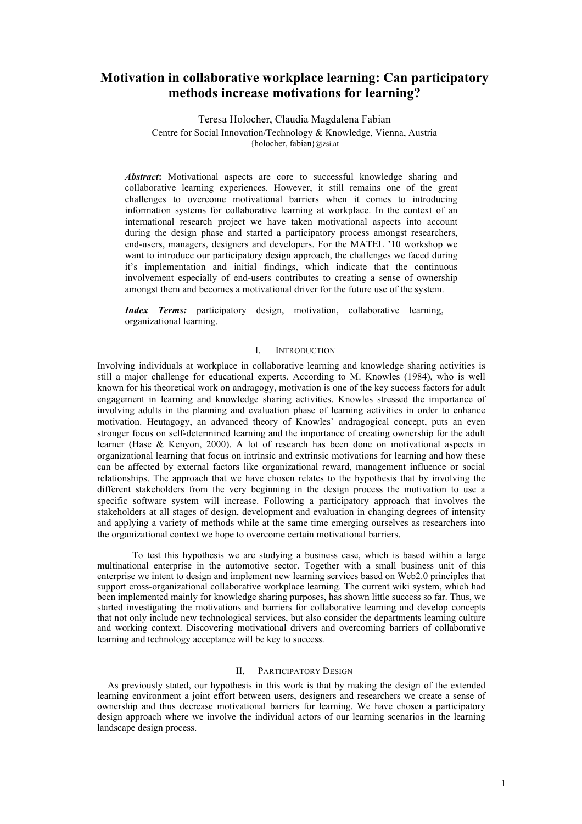# **Motivation in collaborative workplace learning: Can participatory methods increase motivations for learning?**

Teresa Holocher, Claudia Magdalena Fabian Centre for Social Innovation/Technology & Knowledge, Vienna, Austria {holocher, fabian}@zsi.at

Abstract: Motivational aspects are core to successful knowledge sharing and collaborative learning experiences. However, it still remains one of the great challenges to overcome motivational barriers when it comes to introducing information systems for collaborative learning at workplace. In the context of an international research project we have taken motivational aspects into account during the design phase and started a participatory process amongst researchers, end-users, managers, designers and developers. For the MATEL '10 workshop we want to introduce our participatory design approach, the challenges we faced during it's implementation and initial findings, which indicate that the continuous involvement especially of end-users contributes to creating a sense of ownership amongst them and becomes a motivational driver for the future use of the system.

*Index Terms:* participatory design, motivation, collaborative learning, organizational learning.

# I. INTRODUCTION

Involving individuals at workplace in collaborative learning and knowledge sharing activities is still a major challenge for educational experts. According to M. Knowles (1984), who is well known for his theoretical work on andragogy, motivation is one of the key success factors for adult engagement in learning and knowledge sharing activities. Knowles stressed the importance of involving adults in the planning and evaluation phase of learning activities in order to enhance motivation. Heutagogy, an advanced theory of Knowles' andragogical concept, puts an even stronger focus on self-determined learning and the importance of creating ownership for the adult learner (Hase & Kenyon, 2000). A lot of research has been done on motivational aspects in organizational learning that focus on intrinsic and extrinsic motivations for learning and how these can be affected by external factors like organizational reward, management influence or social relationships. The approach that we have chosen relates to the hypothesis that by involving the different stakeholders from the very beginning in the design process the motivation to use a specific software system will increase. Following a participatory approach that involves the stakeholders at all stages of design, development and evaluation in changing degrees of intensity and applying a variety of methods while at the same time emerging ourselves as researchers into the organizational context we hope to overcome certain motivational barriers.

To test this hypothesis we are studying a business case, which is based within a large multinational enterprise in the automotive sector. Together with a small business unit of this enterprise we intent to design and implement new learning services based on Web2.0 principles that support cross-organizational collaborative workplace learning. The current wiki system, which had been implemented mainly for knowledge sharing purposes, has shown little success so far. Thus, we started investigating the motivations and barriers for collaborative learning and develop concepts that not only include new technological services, but also consider the departments learning culture and working context. Discovering motivational drivers and overcoming barriers of collaborative learning and technology acceptance will be key to success.

# II. PARTICIPATORY DESIGN

As previously stated, our hypothesis in this work is that by making the design of the extended learning environment a joint effort between users, designers and researchers we create a sense of ownership and thus decrease motivational barriers for learning. We have chosen a participatory design approach where we involve the individual actors of our learning scenarios in the learning landscape design process.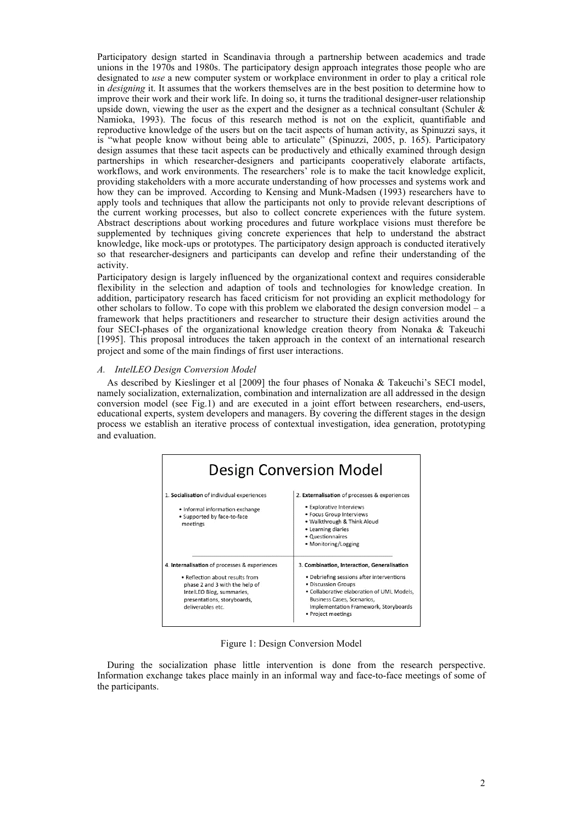Participatory design started in Scandinavia through a partnership between academics and trade unions in the 1970s and 1980s. The participatory design approach integrates those people who are designated to *use* a new computer system or workplace environment in order to play a critical role in *designing* it. It assumes that the workers themselves are in the best position to determine how to improve their work and their work life. In doing so, it turns the traditional designer-user relationship upside down, viewing the user as the expert and the designer as a technical consultant (Schuler  $\&$ Namioka, 1993). The focus of this research method is not on the explicit, quantifiable and reproductive knowledge of the users but on the tacit aspects of human activity, as Spinuzzi says, it is "what people know without being able to articulate" (Spinuzzi, 2005, p. 165). Participatory design assumes that these tacit aspects can be productively and ethically examined through design partnerships in which researcher-designers and participants cooperatively elaborate artifacts, workflows, and work environments. The researchers' role is to make the tacit knowledge explicit, providing stakeholders with a more accurate understanding of how processes and systems work and how they can be improved. According to Kensing and Munk-Madsen (1993) researchers have to apply tools and techniques that allow the participants not only to provide relevant descriptions of the current working processes, but also to collect concrete experiences with the future system. Abstract descriptions about working procedures and future workplace visions must therefore be supplemented by techniques giving concrete experiences that help to understand the abstract knowledge, like mock-ups or prototypes. The participatory design approach is conducted iteratively so that researcher-designers and participants can develop and refine their understanding of the activity.

Participatory design is largely influenced by the organizational context and requires considerable flexibility in the selection and adaption of tools and technologies for knowledge creation. In addition, participatory research has faced criticism for not providing an explicit methodology for other scholars to follow. To cope with this problem we elaborated the design conversion model – a framework that helps practitioners and researcher to structure their design activities around the four SECI-phases of the organizational knowledge creation theory from Nonaka & Takeuchi [1995]. This proposal introduces the taken approach in the context of an international research project and some of the main findings of first user interactions.

# *A. IntelLEO Design Conversion Model*

As described by Kieslinger et al [2009] the four phases of Nonaka & Takeuchi's SECI model, namely socialization, externalization, combination and internalization are all addressed in the design conversion model (see Fig.1) and are executed in a joint effort between researchers, end-users, educational experts, system developers and managers. By covering the different stages in the design process we establish an iterative process of contextual investigation, idea generation, prototyping and evaluation.

| <b>Design Conversion Model</b>                                                                                                                                                                      |                                                                                                                                                                                                                                                            |
|-----------------------------------------------------------------------------------------------------------------------------------------------------------------------------------------------------|------------------------------------------------------------------------------------------------------------------------------------------------------------------------------------------------------------------------------------------------------------|
| 1. Socialisation of individual experiences<br>• Informal information exchange<br>• Supported by face-to-face<br>meetings                                                                            | 2. Externalisation of processes & experiences<br>• Explorative Interviews<br>· Focus Group Interviews<br>· Walkthrough & Think Aloud<br>• Learning diaries<br>· Questionnaires<br>• Monitoring/Logging                                                     |
| 4. Internalisation of processes & experiences<br>• Reflection about results from<br>phase 2 and 3 with the help of<br>IntelLEO Blog, summaries,<br>presentations, storyboards,<br>deliverables etc. | 3. Combination, Interaction, Generalisation<br>• Debriefing sessions after interventions<br>• Discussion Groups<br>· Collaborative elaboration of UML Models,<br>Business Cases, Scenarios,<br>Implementation Framework, Storyboards<br>• Project meetings |

Figure 1: Design Conversion Model

During the socialization phase little intervention is done from the research perspective. Information exchange takes place mainly in an informal way and face-to-face meetings of some of the participants.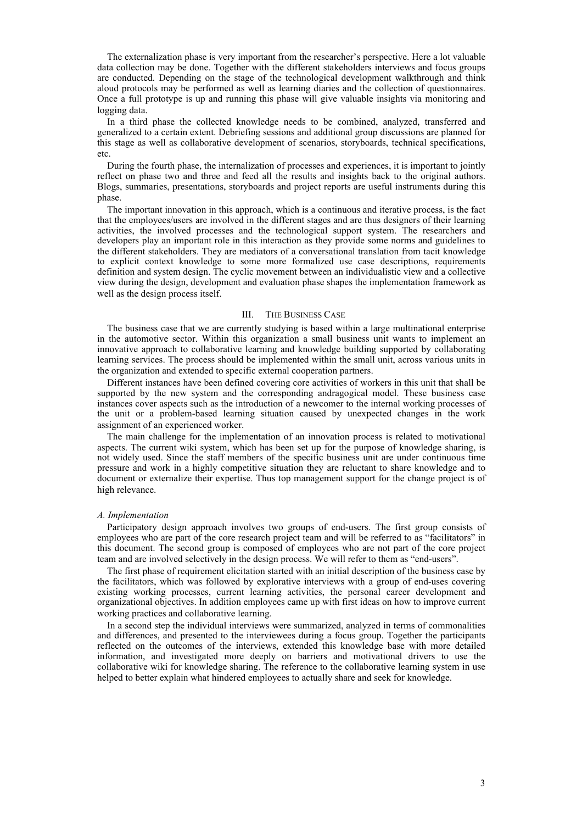The externalization phase is very important from the researcher's perspective. Here a lot valuable data collection may be done. Together with the different stakeholders interviews and focus groups are conducted. Depending on the stage of the technological development walkthrough and think aloud protocols may be performed as well as learning diaries and the collection of questionnaires. Once a full prototype is up and running this phase will give valuable insights via monitoring and logging data.

In a third phase the collected knowledge needs to be combined, analyzed, transferred and generalized to a certain extent. Debriefing sessions and additional group discussions are planned for this stage as well as collaborative development of scenarios, storyboards, technical specifications, etc.

During the fourth phase, the internalization of processes and experiences, it is important to jointly reflect on phase two and three and feed all the results and insights back to the original authors. Blogs, summaries, presentations, storyboards and project reports are useful instruments during this phase.

The important innovation in this approach, which is a continuous and iterative process, is the fact that the employees/users are involved in the different stages and are thus designers of their learning activities, the involved processes and the technological support system. The researchers and developers play an important role in this interaction as they provide some norms and guidelines to the different stakeholders. They are mediators of a conversational translation from tacit knowledge to explicit context knowledge to some more formalized use case descriptions, requirements definition and system design. The cyclic movement between an individualistic view and a collective view during the design, development and evaluation phase shapes the implementation framework as well as the design process itself.

## III. THE BUSINESS CASE

The business case that we are currently studying is based within a large multinational enterprise in the automotive sector. Within this organization a small business unit wants to implement an innovative approach to collaborative learning and knowledge building supported by collaborating learning services. The process should be implemented within the small unit, across various units in the organization and extended to specific external cooperation partners.

Different instances have been defined covering core activities of workers in this unit that shall be supported by the new system and the corresponding andragogical model. These business case instances cover aspects such as the introduction of a newcomer to the internal working processes of the unit or a problem-based learning situation caused by unexpected changes in the work assignment of an experienced worker.

The main challenge for the implementation of an innovation process is related to motivational aspects. The current wiki system, which has been set up for the purpose of knowledge sharing, is not widely used. Since the staff members of the specific business unit are under continuous time pressure and work in a highly competitive situation they are reluctant to share knowledge and to document or externalize their expertise. Thus top management support for the change project is of high relevance.

### *A. Implementation*

Participatory design approach involves two groups of end-users. The first group consists of employees who are part of the core research project team and will be referred to as "facilitators" in this document. The second group is composed of employees who are not part of the core project team and are involved selectively in the design process. We will refer to them as "end-users".

The first phase of requirement elicitation started with an initial description of the business case by the facilitators, which was followed by explorative interviews with a group of end-uses covering existing working processes, current learning activities, the personal career development and organizational objectives. In addition employees came up with first ideas on how to improve current working practices and collaborative learning.

In a second step the individual interviews were summarized, analyzed in terms of commonalities and differences, and presented to the interviewees during a focus group. Together the participants reflected on the outcomes of the interviews, extended this knowledge base with more detailed information, and investigated more deeply on barriers and motivational drivers to use the collaborative wiki for knowledge sharing. The reference to the collaborative learning system in use helped to better explain what hindered employees to actually share and seek for knowledge.